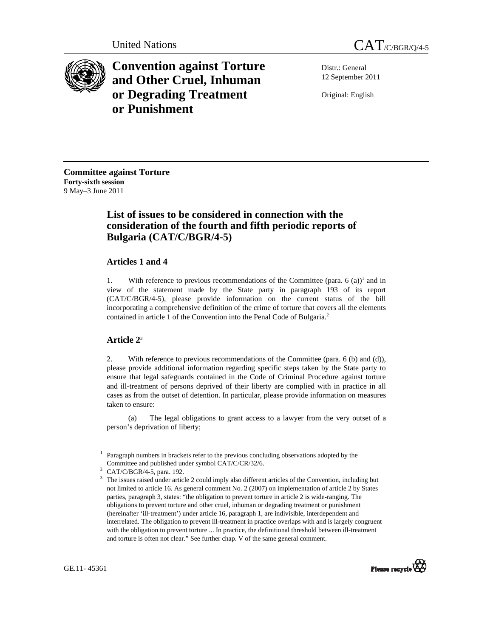



**Convention against Torture and Other Cruel, Inhuman or Degrading Treatment or Punishment**

Distr.: General 12 September 2011

Original: English

**Committee against Torture Forty-sixth session**  9 May–3 June 2011

# **List of issues to be considered in connection with the consideration of the fourth and fifth periodic reports of Bulgaria (CAT/C/BGR/4-5)**

## **Articles 1 and 4**

1. With reference to previous recommendations of the Committee (para.  $6 \text{ (a)}$ )<sup>1</sup> and in view of the statement made by the State party in paragraph 193 of its report (CAT/C/BGR/4-5), please provide information on the current status of the bill incorporating a comprehensive definition of the crime of torture that covers all the elements contained in article 1 of the Convention into the Penal Code of Bulgaria.<sup>2</sup>

## **Article 2**<sup>3</sup>

2. With reference to previous recommendations of the Committee (para. 6 (b) and (d)), please provide additional information regarding specific steps taken by the State party to ensure that legal safeguards contained in the Code of Criminal Procedure against torture and ill-treatment of persons deprived of their liberty are complied with in practice in all cases as from the outset of detention. In particular, please provide information on measures taken to ensure:

 (a) The legal obligations to grant access to a lawyer from the very outset of a person's deprivation of liberty;

<sup>&</sup>lt;sup>3</sup> The issues raised under article 2 could imply also different articles of the Convention, including but not limited to article 16. As general comment No. 2 (2007) on implementation of article 2 by States parties, paragraph 3, states: "the obligation to prevent torture in article 2 is wide-ranging. The obligations to prevent torture and other cruel, inhuman or degrading treatment or punishment (hereinafter 'ill-treatment') under article 16, paragraph 1, are indivisible, interdependent and interrelated. The obligation to prevent ill-treatment in practice overlaps with and is largely congruent with the obligation to prevent torture ... In practice, the definitional threshold between ill-treatment and torture is often not clear." See further chap. V of the same general comment.



<sup>&</sup>lt;sup>1</sup> Paragraph numbers in brackets refer to the previous concluding observations adopted by the Committee and published under symbol CAT/C/CR/32/6.

<sup>&</sup>lt;sup>2</sup> CAT/C/BGR/4-5, para. 192.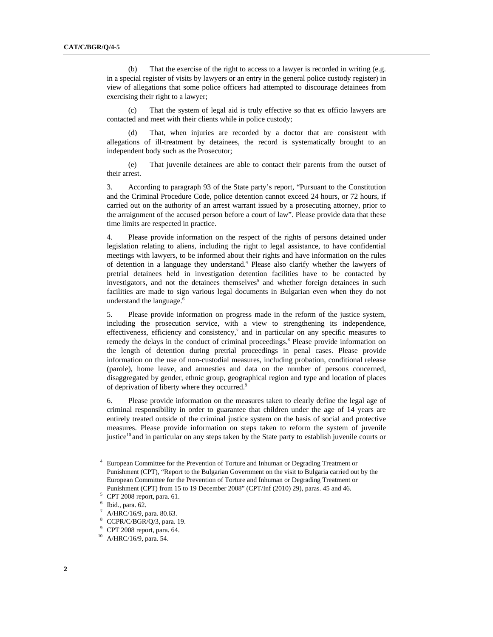(b) That the exercise of the right to access to a lawyer is recorded in writing (e.g. in a special register of visits by lawyers or an entry in the general police custody register) in view of allegations that some police officers had attempted to discourage detainees from exercising their right to a lawyer;

 (c) That the system of legal aid is truly effective so that ex officio lawyers are contacted and meet with their clients while in police custody;

 (d) That, when injuries are recorded by a doctor that are consistent with allegations of ill-treatment by detainees, the record is systematically brought to an independent body such as the Prosecutor;

 (e) That juvenile detainees are able to contact their parents from the outset of their arrest.

3. According to paragraph 93 of the State party's report, "Pursuant to the Constitution and the Criminal Procedure Code, police detention cannot exceed 24 hours, or 72 hours, if carried out on the authority of an arrest warrant issued by a prosecuting attorney, prior to the arraignment of the accused person before a court of law". Please provide data that these time limits are respected in practice.

4. Please provide information on the respect of the rights of persons detained under legislation relating to aliens, including the right to legal assistance, to have confidential meetings with lawyers, to be informed about their rights and have information on the rules of detention in a language they understand.<sup>4</sup> Please also clarify whether the lawyers of pretrial detainees held in investigation detention facilities have to be contacted by investigators, and not the detainees themselves<sup>5</sup> and whether foreign detainees in such facilities are made to sign various legal documents in Bulgarian even when they do not understand the language.<sup>6</sup>

5. Please provide information on progress made in the reform of the justice system, including the prosecution service, with a view to strengthening its independence, effectiveness, efficiency and consistency, $\lambda$  and in particular on any specific measures to remedy the delays in the conduct of criminal proceedings.<sup>8</sup> Please provide information on the length of detention during pretrial proceedings in penal cases. Please provide information on the use of non-custodial measures, including probation, conditional release (parole), home leave, and amnesties and data on the number of persons concerned, disaggregated by gender, ethnic group, geographical region and type and location of places of deprivation of liberty where they occurred.<sup>9</sup>

6. Please provide information on the measures taken to clearly define the legal age of criminal responsibility in order to guarantee that children under the age of 14 years are entirely treated outside of the criminal justice system on the basis of social and protective measures. Please provide information on steps taken to reform the system of juvenile justice<sup>10</sup> and in particular on any steps taken by the State party to establish juvenile courts or

<sup>&</sup>lt;sup>4</sup> European Committee for the Prevention of Torture and Inhuman or Degrading Treatment or Punishment (CPT), "Report to the Bulgarian Government on the visit to Bulgaria carried out by the European Committee for the Prevention of Torture and Inhuman or Degrading Treatment or Punishment (CPT) from 15 to 19 December 2008" (CPT/Inf (2010) 29), paras. 45 and 46. 5

 $5$  CPT 2008 report, para. 61.

<sup>6</sup> Ibid., para. 62.

<sup>7</sup> A/HRC/16/9, para. 80.63.

<sup>8</sup> CCPR/C/BGR/Q/3, para. 19.

<sup>9</sup> CPT 2008 report, para. 64.

<sup>10</sup> A/HRC/16/9, para. 54.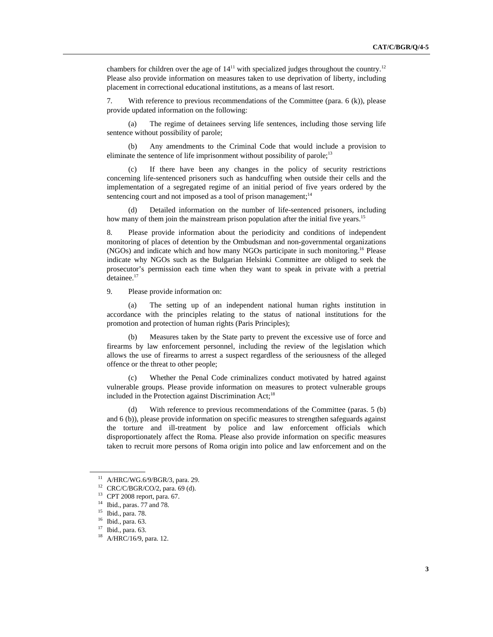chambers for children over the age of  $14<sup>11</sup>$  with specialized judges throughout the country.<sup>12</sup> Please also provide information on measures taken to use deprivation of liberty, including placement in correctional educational institutions, as a means of last resort.

7. With reference to previous recommendations of the Committee (para. 6 (k)), please provide updated information on the following:

 (a) The regime of detainees serving life sentences, including those serving life sentence without possibility of parole;

 (b) Any amendments to the Criminal Code that would include a provision to eliminate the sentence of life imprisonment without possibility of parole;<sup>13</sup>

 (c) If there have been any changes in the policy of security restrictions concerning life-sentenced prisoners such as handcuffing when outside their cells and the implementation of a segregated regime of an initial period of five years ordered by the sentencing court and not imposed as a tool of prison management; $14$ 

 (d) Detailed information on the number of life-sentenced prisoners, including how many of them join the mainstream prison population after the initial five years.<sup>15</sup>

8. Please provide information about the periodicity and conditions of independent monitoring of places of detention by the Ombudsman and non-governmental organizations (NGOs) and indicate which and how many NGOs participate in such monitoring.16 Please indicate why NGOs such as the Bulgarian Helsinki Committee are obliged to seek the prosecutor's permission each time when they want to speak in private with a pretrial detainee.<sup>17</sup>

9. Please provide information on:

 (a) The setting up of an independent national human rights institution in accordance with the principles relating to the status of national institutions for the promotion and protection of human rights (Paris Principles);

Measures taken by the State party to prevent the excessive use of force and firearms by law enforcement personnel, including the review of the legislation which allows the use of firearms to arrest a suspect regardless of the seriousness of the alleged offence or the threat to other people;

 (c) Whether the Penal Code criminalizes conduct motivated by hatred against vulnerable groups. Please provide information on measures to protect vulnerable groups included in the Protection against Discrimination Act;<sup>18</sup>

 (d) With reference to previous recommendations of the Committee (paras. 5 (b) and 6 (b)), please provide information on specific measures to strengthen safeguards against the torture and ill-treatment by police and law enforcement officials which disproportionately affect the Roma. Please also provide information on specific measures taken to recruit more persons of Roma origin into police and law enforcement and on the

 $11$  A/HRC/WG.6/9/BGR/3, para. 29.

<sup>12</sup> CRC/C/BGR/CO/2, para. 69 (d).

<sup>13</sup> CPT 2008 report, para. 67.

<sup>14</sup> Ibid., paras. 77 and 78.

<sup>15</sup> Ibid., para. 78.

<sup>16</sup> Ibid., para. 63.

<sup>17</sup> Ibid., para. 63.

<sup>18</sup> A/HRC/16/9, para. 12.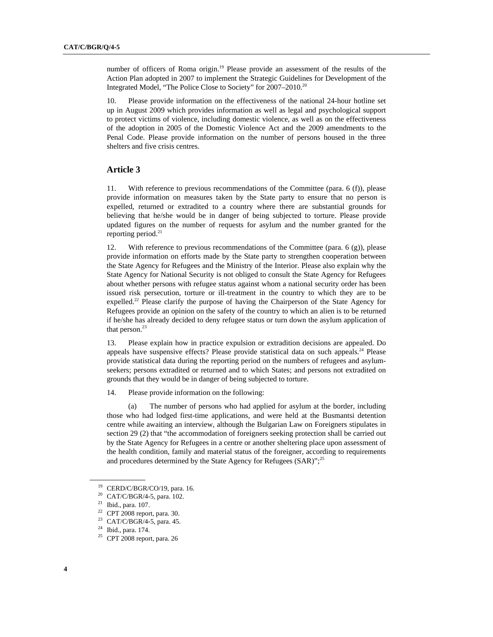number of officers of Roma origin.<sup>19</sup> Please provide an assessment of the results of the Action Plan adopted in 2007 to implement the Strategic Guidelines for Development of the Integrated Model, "The Police Close to Society" for 2007–2010.20

10. Please provide information on the effectiveness of the national 24-hour hotline set up in August 2009 which provides information as well as legal and psychological support to protect victims of violence, including domestic violence, as well as on the effectiveness of the adoption in 2005 of the Domestic Violence Act and the 2009 amendments to the Penal Code. Please provide information on the number of persons housed in the three shelters and five crisis centres.

#### **Article 3**

11. With reference to previous recommendations of the Committee (para. 6 (f)), please provide information on measures taken by the State party to ensure that no person is expelled, returned or extradited to a country where there are substantial grounds for believing that he/she would be in danger of being subjected to torture. Please provide updated figures on the number of requests for asylum and the number granted for the reporting period.<sup>21</sup>

12. With reference to previous recommendations of the Committee (para.  $6(g)$ ), please provide information on efforts made by the State party to strengthen cooperation between the State Agency for Refugees and the Ministry of the Interior. Please also explain why the State Agency for National Security is not obliged to consult the State Agency for Refugees about whether persons with refugee status against whom a national security order has been issued risk persecution, torture or ill-treatment in the country to which they are to be expelled.<sup>22</sup> Please clarify the purpose of having the Chairperson of the State Agency for Refugees provide an opinion on the safety of the country to which an alien is to be returned if he/she has already decided to deny refugee status or turn down the asylum application of that person. $23$ 

13. Please explain how in practice expulsion or extradition decisions are appealed. Do appeals have suspensive effects? Please provide statistical data on such appeals.<sup>24</sup> Please provide statistical data during the reporting period on the numbers of refugees and asylumseekers; persons extradited or returned and to which States; and persons not extradited on grounds that they would be in danger of being subjected to torture.

14. Please provide information on the following:

 (a) The number of persons who had applied for asylum at the border, including those who had lodged first-time applications, and were held at the Busmantsi detention centre while awaiting an interview, although the Bulgarian Law on Foreigners stipulates in section 29 (2) that "the accommodation of foreigners seeking protection shall be carried out by the State Agency for Refugees in a centre or another sheltering place upon assessment of the health condition, family and material status of the foreigner, according to requirements and procedures determined by the State Agency for Refugees (SAR)";<sup>25</sup>

<sup>19</sup> CERD/C/BGR/CO/19, para. 16.

 $^{20}$  CAT/C/BGR/4-5, para. 102.<br><sup>21</sup> Ibid., para. 107.

 $22$  CPT 2008 report, para. 30.

<sup>&</sup>lt;sup>23</sup> CAT/C/BGR/4-5, para. 45.<br><sup>24</sup> Ibid., para. 174.

<sup>25</sup> CPT 2008 report, para. 26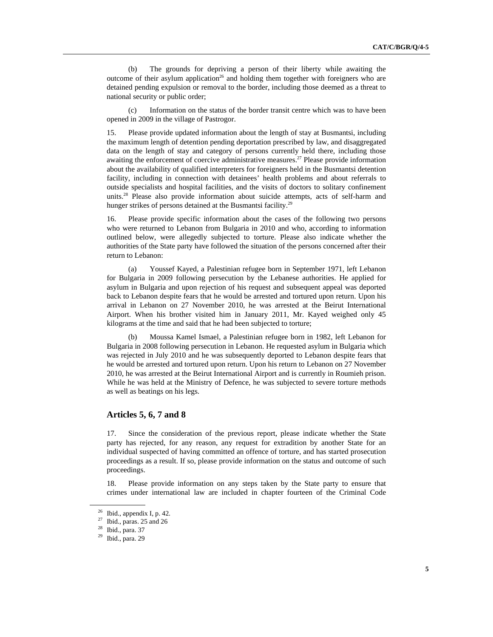(b) The grounds for depriving a person of their liberty while awaiting the outcome of their asylum application<sup>26</sup> and holding them together with foreigners who are detained pending expulsion or removal to the border, including those deemed as a threat to national security or public order;

 (c) Information on the status of the border transit centre which was to have been opened in 2009 in the village of Pastrogor.

15. Please provide updated information about the length of stay at Busmantsi, including the maximum length of detention pending deportation prescribed by law, and disaggregated data on the length of stay and category of persons currently held there, including those awaiting the enforcement of coercive administrative measures.<sup>27</sup> Please provide information about the availability of qualified interpreters for foreigners held in the Busmantsi detention facility, including in connection with detainees' health problems and about referrals to outside specialists and hospital facilities, and the visits of doctors to solitary confinement units.<sup>28</sup> Please also provide information about suicide attempts, acts of self-harm and hunger strikes of persons detained at the Busmantsi facility.<sup>29</sup>

16. Please provide specific information about the cases of the following two persons who were returned to Lebanon from Bulgaria in 2010 and who, according to information outlined below, were allegedly subjected to torture. Please also indicate whether the authorities of the State party have followed the situation of the persons concerned after their return to Lebanon:

 (a) Youssef Kayed, a Palestinian refugee born in September 1971, left Lebanon for Bulgaria in 2009 following persecution by the Lebanese authorities. He applied for asylum in Bulgaria and upon rejection of his request and subsequent appeal was deported back to Lebanon despite fears that he would be arrested and tortured upon return. Upon his arrival in Lebanon on 27 November 2010, he was arrested at the Beirut International Airport. When his brother visited him in January 2011, Mr. Kayed weighed only 45 kilograms at the time and said that he had been subjected to torture;

Moussa Kamel Ismael, a Palestinian refugee born in 1982, left Lebanon for Bulgaria in 2008 following persecution in Lebanon. He requested asylum in Bulgaria which was rejected in July 2010 and he was subsequently deported to Lebanon despite fears that he would be arrested and tortured upon return. Upon his return to Lebanon on 27 November 2010, he was arrested at the Beirut International Airport and is currently in Roumieh prison. While he was held at the Ministry of Defence, he was subjected to severe torture methods as well as beatings on his legs.

## **Articles 5, 6, 7 and 8**

17. Since the consideration of the previous report, please indicate whether the State party has rejected, for any reason, any request for extradition by another State for an individual suspected of having committed an offence of torture, and has started prosecution proceedings as a result. If so, please provide information on the status and outcome of such proceedings.

18. Please provide information on any steps taken by the State party to ensure that crimes under international law are included in chapter fourteen of the Criminal Code

 $26$  Ibid., appendix I, p. 42.

 $27$  Ibid., paras. 25 and 26

<sup>28</sup> Ibid., para. 37

<sup>29</sup> Ibid., para. 29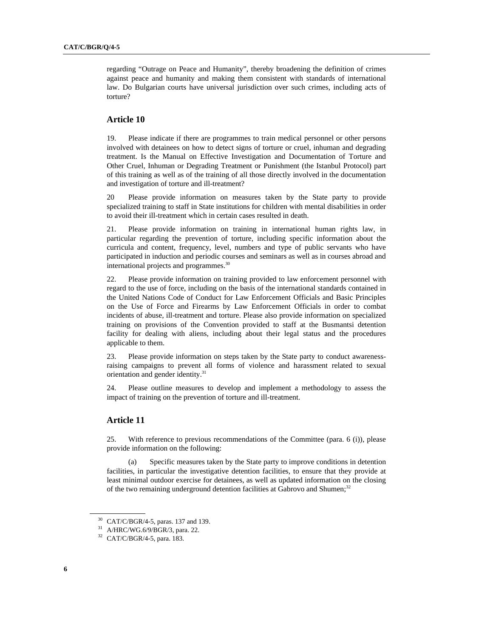regarding "Outrage on Peace and Humanity", thereby broadening the definition of crimes against peace and humanity and making them consistent with standards of international law. Do Bulgarian courts have universal jurisdiction over such crimes, including acts of torture?

### **Article 10**

19. Please indicate if there are programmes to train medical personnel or other persons involved with detainees on how to detect signs of torture or cruel, inhuman and degrading treatment. Is the Manual on Effective Investigation and Documentation of Torture and Other Cruel, Inhuman or Degrading Treatment or Punishment (the Istanbul Protocol) part of this training as well as of the training of all those directly involved in the documentation and investigation of torture and ill-treatment?

20 Please provide information on measures taken by the State party to provide specialized training to staff in State institutions for children with mental disabilities in order to avoid their ill-treatment which in certain cases resulted in death.

21. Please provide information on training in international human rights law, in particular regarding the prevention of torture, including specific information about the curricula and content, frequency, level, numbers and type of public servants who have participated in induction and periodic courses and seminars as well as in courses abroad and international projects and programmes.<sup>30</sup>

22. Please provide information on training provided to law enforcement personnel with regard to the use of force, including on the basis of the international standards contained in the United Nations Code of Conduct for Law Enforcement Officials and Basic Principles on the Use of Force and Firearms by Law Enforcement Officials in order to combat incidents of abuse, ill-treatment and torture. Please also provide information on specialized training on provisions of the Convention provided to staff at the Busmantsi detention facility for dealing with aliens, including about their legal status and the procedures applicable to them.

23. Please provide information on steps taken by the State party to conduct awarenessraising campaigns to prevent all forms of violence and harassment related to sexual orientation and gender identity.<sup>31</sup>

24. Please outline measures to develop and implement a methodology to assess the impact of training on the prevention of torture and ill-treatment.

#### **Article 11**

25. With reference to previous recommendations of the Committee (para. 6 (i)), please provide information on the following:

 (a) Specific measures taken by the State party to improve conditions in detention facilities, in particular the investigative detention facilities, to ensure that they provide at least minimal outdoor exercise for detainees, as well as updated information on the closing of the two remaining underground detention facilities at Gabrovo and Shumen;<sup>32</sup>

<sup>30</sup> CAT/C/BGR/4-5, paras. 137 and 139.

<sup>31</sup> A/HRC/WG.6/9/BGR/3, para. 22.

<sup>32</sup> CAT/C/BGR/4-5, para. 183.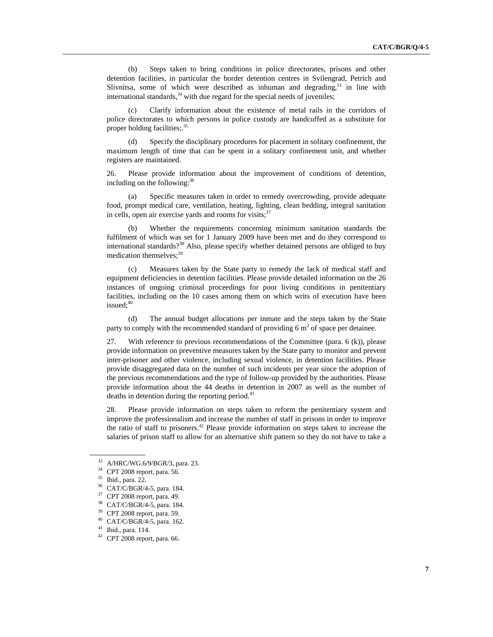(b) Steps taken to bring conditions in police directorates, prisons and other detention facilities, in particular the border detention centres in Svilengrad, Petrich and Slivnitsa, some of which were described as inhuman and degrading, $33$  in line with international standards,  $34$  with due regard for the special needs of juveniles;

 (c) Clarify information about the existence of metal rails in the corridors of police directorates to which persons in police custody are handcuffed as a substitute for proper holding facilities;.<sup>35</sup>

 (d) Specify the disciplinary procedures for placement in solitary confinement, the maximum length of time that can be spent in a solitary confinement unit, and whether registers are maintained.

26. Please provide information about the improvement of conditions of detention, including on the following: $36$ 

 (a) Specific measures taken in order to remedy overcrowding, provide adequate food, prompt medical care, ventilation, heating, lighting, clean bedding, integral sanitation in cells, open air exercise yards and rooms for visits; $37$ 

 (b) Whether the requirements concerning minimum sanitation standards the fulfilment of which was set for 1 January 2009 have been met and do they correspond to international standards?<sup>38</sup> Also, please specify whether detained persons are obliged to buy medication themselves;<sup>39</sup>

 (c) Measures taken by the State party to remedy the lack of medical staff and equipment deficiencies in detention facilities. Please provide detailed information on the 26 instances of ongoing criminal proceedings for poor living conditions in penitentiary facilities, including on the 10 cases among them on which writs of execution have been issued:<sup>40</sup>

 (d) The annual budget allocations per inmate and the steps taken by the State party to comply with the recommended standard of providing 6  $m<sup>2</sup>$  of space per detainee.

27. With reference to previous recommendations of the Committee (para. 6 (k)), please provide information on preventive measures taken by the State party to monitor and prevent inter-prisoner and other violence, including sexual violence, in detention facilities. Please provide disaggregated data on the number of such incidents per year since the adoption of the previous recommendations and the type of follow-up provided by the authorities. Please provide information about the 44 deaths in detention in 2007 as well as the number of deaths in detention during the reporting period. $41$ 

28. Please provide information on steps taken to reform the penitentiary system and improve the professionalism and increase the number of staff in prisons in order to improve the ratio of staff to prisoners.42 Please provide information on steps taken to increase the salaries of prison staff to allow for an alternative shift pattern so they do not have to take a

<sup>33</sup> A/HRC/WG.6/9/BGR/3, para. 23.

 $^{34}$  CPT 2008 report, para. 56.<br> $^{35}$  Ibid., para. 22.

<sup>&</sup>lt;sup>36</sup> CAT/C/BGR/4-5, para. 184.

<sup>37</sup> CPT 2008 report, para. 49.

<sup>38</sup> CAT/C/BGR/4-5, para. 184.

<sup>39</sup> CPT 2008 report, para. 59.

 $^{40}$  CAT/C/BGR/4-5, para. 162.<br> $^{41}$  Ibid., para. 114.

 $42$  CPT 2008 report, para. 66.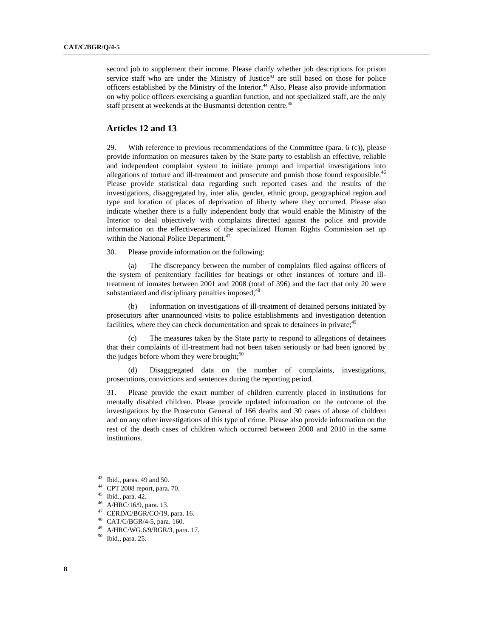second job to supplement their income. Please clarify whether job descriptions for prison service staff who are under the Ministry of Justice $4<sup>3</sup>$  are still based on those for police officers established by the Ministry of the Interior.<sup>44</sup> Also, Please also provide information on why police officers exercising a guardian function, and not specialized staff, are the only staff present at weekends at the Busmantsi detention centre.<sup>45</sup>

## **Articles 12 and 13**

29. With reference to previous recommendations of the Committee (para. 6 (c)), please provide information on measures taken by the State party to establish an effective, reliable and independent complaint system to initiate prompt and impartial investigations into allegations of torture and ill-treatment and prosecute and punish those found responsible.<sup>46</sup> Please provide statistical data regarding such reported cases and the results of the investigations, disaggregated by, inter alia, gender, ethnic group, geographical region and type and location of places of deprivation of liberty where they occurred. Please also indicate whether there is a fully independent body that would enable the Ministry of the Interior to deal objectively with complaints directed against the police and provide information on the effectiveness of the specialized Human Rights Commission set up within the National Police Department.<sup>47</sup>

30. Please provide information on the following:

 (a) The discrepancy between the number of complaints filed against officers of the system of penitentiary facilities for beatings or other instances of torture and illtreatment of inmates between 2001 and 2008 (total of 396) and the fact that only 20 were substantiated and disciplinary penalties imposed;<sup>48</sup>

 (b) Information on investigations of ill-treatment of detained persons initiated by prosecutors after unannounced visits to police establishments and investigation detention facilities, where they can check documentation and speak to detainees in private; $49$ 

 (c) The measures taken by the State party to respond to allegations of detainees that their complaints of ill-treatment had not been taken seriously or had been ignored by the judges before whom they were brought;<sup>50</sup>

 (d) Disaggregated data on the number of complaints, investigations, prosecutions, convictions and sentences during the reporting period.

31. Please provide the exact number of children currently placed in institutions for mentally disabled children. Please provide updated information on the outcome of the investigations by the Prosecutor General of 166 deaths and 30 cases of abuse of children and on any other investigations of this type of crime. Please also provide information on the rest of the death cases of children which occurred between 2000 and 2010 in the same institutions.

47 CERD/C/BGR/CO/19, para. 16.

 $43$  Ibid., paras. 49 and 50.

<sup>44</sup> CPT 2008 report, para. 70.

<sup>45</sup> Ibid., para. 42.

<sup>46</sup> A/HRC/16/9, para. 13.

<sup>48</sup> CAT/C/BGR/4-5, para. 160.

<sup>49</sup> A/HRC/WG.6/9/BGR/3, para. 17.

<sup>50</sup> Ibid., para. 25.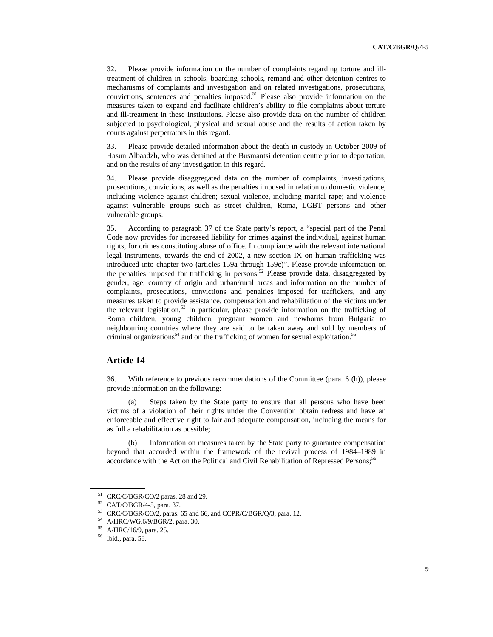32. Please provide information on the number of complaints regarding torture and illtreatment of children in schools, boarding schools, remand and other detention centres to mechanisms of complaints and investigation and on related investigations, prosecutions, convictions, sentences and penalties imposed. $51$  Please also provide information on the measures taken to expand and facilitate children's ability to file complaints about torture and ill-treatment in these institutions. Please also provide data on the number of children subjected to psychological, physical and sexual abuse and the results of action taken by courts against perpetrators in this regard.

33. Please provide detailed information about the death in custody in October 2009 of Hasun Albaadzh, who was detained at the Busmantsi detention centre prior to deportation, and on the results of any investigation in this regard.

34. Please provide disaggregated data on the number of complaints, investigations, prosecutions, convictions, as well as the penalties imposed in relation to domestic violence, including violence against children; sexual violence, including marital rape; and violence against vulnerable groups such as street children, Roma, LGBT persons and other vulnerable groups.

35. According to paragraph 37 of the State party's report, a "special part of the Penal Code now provides for increased liability for crimes against the individual, against human rights, for crimes constituting abuse of office. In compliance with the relevant international legal instruments, towards the end of 2002, a new section IX on human trafficking was introduced into chapter two (articles 159a through 159c)". Please provide information on the penalties imposed for trafficking in persons.<sup>52</sup> Please provide data, disaggregated by gender, age, country of origin and urban/rural areas and information on the number of complaints, prosecutions, convictions and penalties imposed for traffickers, and any measures taken to provide assistance, compensation and rehabilitation of the victims under the relevant legislation.<sup>53</sup> In particular, please provide information on the trafficking of Roma children, young children, pregnant women and newborns from Bulgaria to neighbouring countries where they are said to be taken away and sold by members of criminal organizations<sup>54</sup> and on the trafficking of women for sexual exploitation.<sup>55</sup>

#### **Article 14**

36. With reference to previous recommendations of the Committee (para. 6 (h)), please provide information on the following:

 (a) Steps taken by the State party to ensure that all persons who have been victims of a violation of their rights under the Convention obtain redress and have an enforceable and effective right to fair and adequate compensation, including the means for as full a rehabilitation as possible;

 (b) Information on measures taken by the State party to guarantee compensation beyond that accorded within the framework of the revival process of 1984–1989 in accordance with the Act on the Political and Civil Rehabilitation of Repressed Persons;<sup>56</sup>

<sup>51</sup> CRC/C/BGR/CO/2 paras. 28 and 29.

<sup>52</sup> CAT/C/BGR/4-5, para. 37.

<sup>53</sup> CRC/C/BGR/CO/2, paras. 65 and 66, and CCPR/C/BGR/Q/3, para. 12.

<sup>54</sup> A/HRC/WG.6/9/BGR/2, para. 30.

<sup>55</sup> A/HRC/16/9, para. 25.

<sup>56</sup> Ibid., para. 58.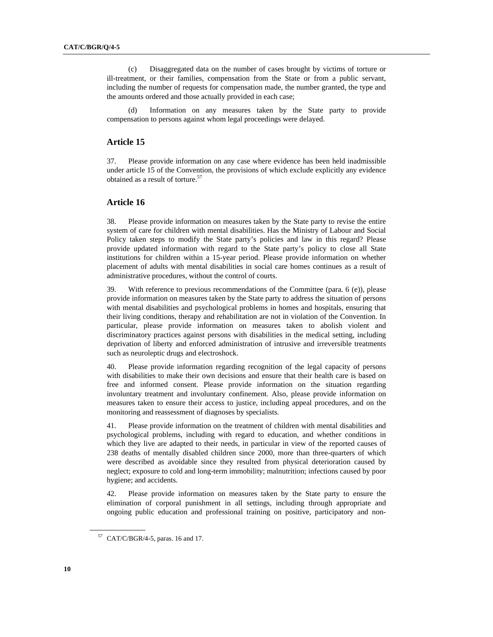(c) Disaggregated data on the number of cases brought by victims of torture or ill-treatment, or their families, compensation from the State or from a public servant, including the number of requests for compensation made, the number granted, the type and the amounts ordered and those actually provided in each case;

 (d) Information on any measures taken by the State party to provide compensation to persons against whom legal proceedings were delayed.

#### **Article 15**

37. Please provide information on any case where evidence has been held inadmissible under article 15 of the Convention, the provisions of which exclude explicitly any evidence obtained as a result of torture. $57$ 

#### **Article 16**

38. Please provide information on measures taken by the State party to revise the entire system of care for children with mental disabilities. Has the Ministry of Labour and Social Policy taken steps to modify the State party's policies and law in this regard? Please provide updated information with regard to the State party's policy to close all State institutions for children within a 15-year period. Please provide information on whether placement of adults with mental disabilities in social care homes continues as a result of administrative procedures, without the control of courts.

39. With reference to previous recommendations of the Committee (para. 6 (e)), please provide information on measures taken by the State party to address the situation of persons with mental disabilities and psychological problems in homes and hospitals, ensuring that their living conditions, therapy and rehabilitation are not in violation of the Convention. In particular, please provide information on measures taken to abolish violent and discriminatory practices against persons with disabilities in the medical setting, including deprivation of liberty and enforced administration of intrusive and irreversible treatments such as neuroleptic drugs and electroshock.

40. Please provide information regarding recognition of the legal capacity of persons with disabilities to make their own decisions and ensure that their health care is based on free and informed consent. Please provide information on the situation regarding involuntary treatment and involuntary confinement. Also, please provide information on measures taken to ensure their access to justice, including appeal procedures, and on the monitoring and reassessment of diagnoses by specialists.

41. Please provide information on the treatment of children with mental disabilities and psychological problems, including with regard to education, and whether conditions in which they live are adapted to their needs, in particular in view of the reported causes of 238 deaths of mentally disabled children since 2000, more than three-quarters of which were described as avoidable since they resulted from physical deterioration caused by neglect; exposure to cold and long-term immobility; malnutrition; infections caused by poor hygiene; and accidents.

42. Please provide information on measures taken by the State party to ensure the elimination of corporal punishment in all settings, including through appropriate and ongoing public education and professional training on positive, participatory and non-

 $57$  CAT/C/BGR/4-5, paras. 16 and 17.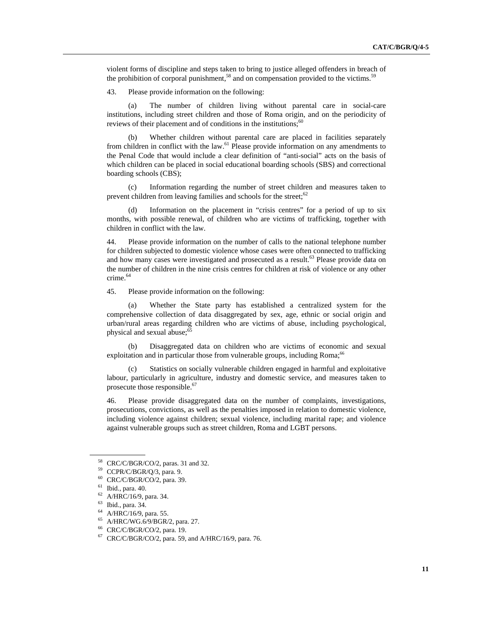violent forms of discipline and steps taken to bring to justice alleged offenders in breach of the prohibition of corporal punishment,<sup>58</sup> and on compensation provided to the victims.<sup>59</sup>

43. Please provide information on the following:

 (a) The number of children living without parental care in social-care institutions, including street children and those of Roma origin, and on the periodicity of reviews of their placement and of conditions in the institutions; $60$ 

 (b) Whether children without parental care are placed in facilities separately from children in conflict with the law. $^{61}$  Please provide information on any amendments to the Penal Code that would include a clear definition of "anti-social" acts on the basis of which children can be placed in social educational boarding schools (SBS) and correctional boarding schools (CBS);

 (c) Information regarding the number of street children and measures taken to prevent children from leaving families and schools for the street; $62$ 

 (d) Information on the placement in "crisis centres" for a period of up to six months, with possible renewal, of children who are victims of trafficking, together with children in conflict with the law.

44. Please provide information on the number of calls to the national telephone number for children subjected to domestic violence whose cases were often connected to trafficking and how many cases were investigated and prosecuted as a result.<sup>63</sup> Please provide data on the number of children in the nine crisis centres for children at risk of violence or any other crime.<sup>64</sup>

45. Please provide information on the following:

 (a) Whether the State party has established a centralized system for the comprehensive collection of data disaggregated by sex, age, ethnic or social origin and urban/rural areas regarding children who are victims of abuse, including psychological, physical and sexual abuse; $\frac{65}{5}$ 

 (b) Disaggregated data on children who are victims of economic and sexual exploitation and in particular those from vulnerable groups, including Roma;<sup>66</sup>

Statistics on socially vulnerable children engaged in harmful and exploitative labour, particularly in agriculture, industry and domestic service, and measures taken to prosecute those responsible.<sup>67</sup>

46. Please provide disaggregated data on the number of complaints, investigations, prosecutions, convictions, as well as the penalties imposed in relation to domestic violence, including violence against children; sexual violence, including marital rape; and violence against vulnerable groups such as street children, Roma and LGBT persons.

64 A/HRC/16/9, para. 55.

<sup>58</sup> CRC/C/BGR/CO/2, paras. 31 and 32.

<sup>59</sup> CCPR/C/BGR/Q/3, para. 9.

<sup>60</sup> CRC/C/BGR/CO/2, para. 39.

<sup>61</sup> Ibid., para. 40.

<sup>62</sup> A/HRC/16/9, para. 34.

<sup>63</sup> Ibid., para. 34.

<sup>65</sup> A/HRC/WG.6/9/BGR/2, para. 27.

<sup>66</sup> CRC/C/BGR/CO/2, para. 19.

<sup>67</sup> CRC/C/BGR/CO/2, para. 59, and A/HRC/16/9, para. 76.